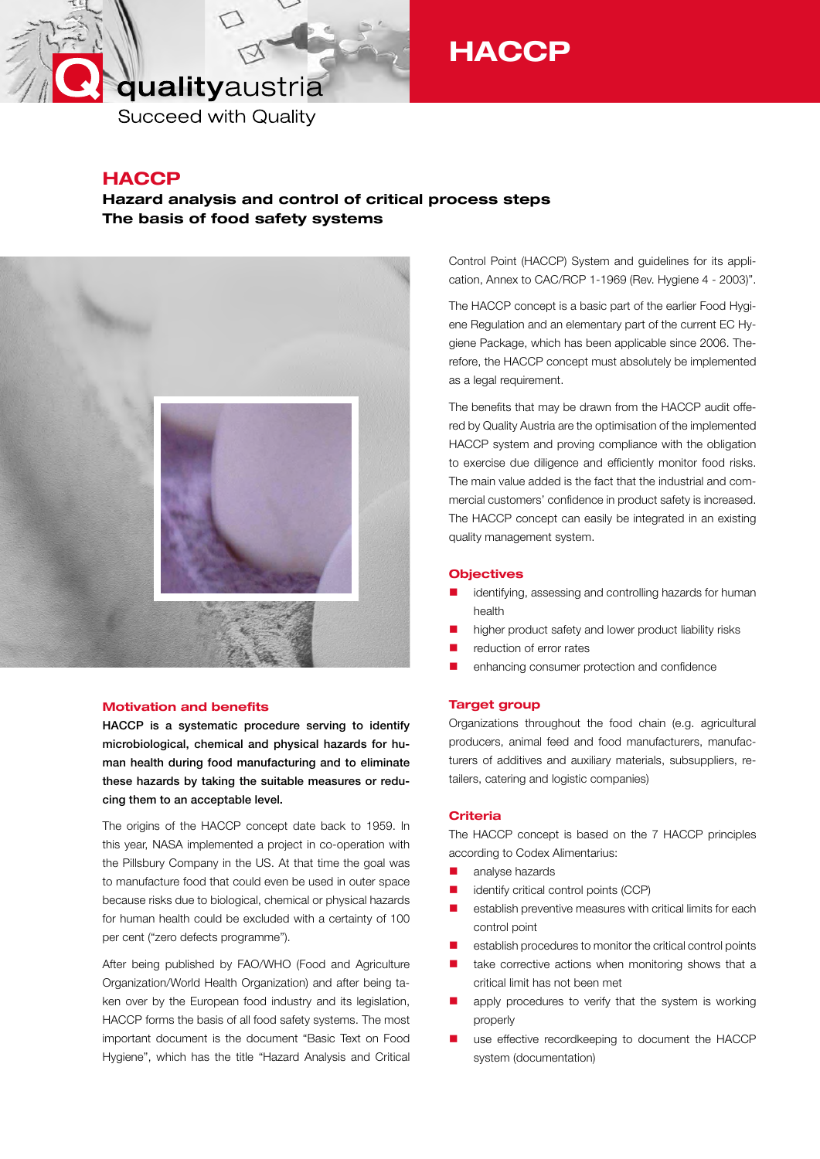# qualityaustria

**HACCP** 

**Succeed with Quality** 

### **HACCP**

### Hazard analysis and control of critical process steps The basis of food safety systems



### Motivation and benefits

HACCP is a systematic procedure serving to identify microbiological, chemical and physical hazards for human health during food manufacturing and to eliminate these hazards by taking the suitable measures or reducing them to an acceptable level.

The origins of the HACCP concept date back to 1959. In this year, NASA implemented a project in co-operation with the Pillsbury Company in the US. At that time the goal was to manufacture food that could even be used in outer space because risks due to biological, chemical or physical hazards for human health could be excluded with a certainty of 100 per cent ("zero defects programme").

After being published by FAO/WHO (Food and Agriculture Organization/World Health Organization) and after being taken over by the European food industry and its legislation, HACCP forms the basis of all food safety systems. The most important document is the document "Basic Text on Food Hygiene", which has the title "Hazard Analysis and Critical Control Point (HACCP) System and guidelines for its application, Annex to CAC/RCP 1-1969 (Rev. Hygiene 4 - 2003)".

The HACCP concept is a basic part of the earlier Food Hygiene Regulation and an elementary part of the current EC Hygiene Package, which has been applicable since 2006. Therefore, the HACCP concept must absolutely be implemented as a legal requirement.

The benefits that may be drawn from the HACCP audit offered by Quality Austria are the optimisation of the implemented HACCP system and proving compliance with the obligation to exercise due diligence and efficiently monitor food risks. The main value added is the fact that the industrial and commercial customers' confidence in product safety is increased. The HACCP concept can easily be integrated in an existing quality management system.

### **Objectives**

- identifying, assessing and controlling hazards for human health
- higher product safety and lower product liability risks
- reduction of error rates
- enhancing consumer protection and confidence

### Target group

Organizations throughout the food chain (e.g. agricultural producers, animal feed and food manufacturers, manufacturers of additives and auxiliary materials, subsuppliers, retailers, catering and logistic companies)

### **Criteria**

The HACCP concept is based on the 7 HACCP principles according to Codex Alimentarius:

- **analyse hazards**
- **identify critical control points (CCP)**
- **E** establish preventive measures with critical limits for each control point
- **E** establish procedures to monitor the critical control points
- take corrective actions when monitoring shows that a critical limit has not been met
- **n** apply procedures to verify that the system is working properly
- use effective recordkeeping to document the HACCP system (documentation)